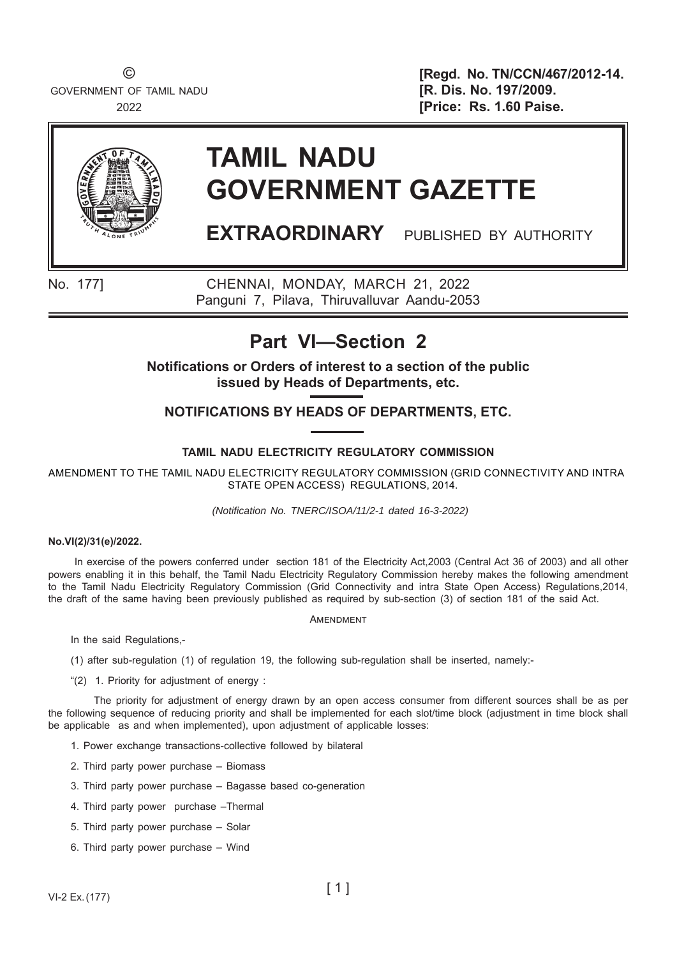GOVERNMENT OF TAMIL NADU **[R. Dis. No. 197/2009.** 

© **[Regd. No. TN/CCN/467/2012-14.** 2022 **[Price: Rs. 1.60 Paise.** 



# **TAMIL NADU GOVERNMENT GAZETTE**

**EXTRAORDINARY** PUBLISHED BY AUTHORITY

No. 177] CHENNAI, MONDAY, MARCH 21, 2022 Panguni 7, Pilava, Thiruvalluvar Aandu-2053

# **Part VI—Section 2**

**Notifications or Orders of interest to a section of the public issued by Heads of Departments, etc.**

## **NOTIFICATIONS BY HEADS OF DEPARTMENTS, ETC.**

### **TAMIL NADU ELECTRICITY REGULATORY COMMISSION**

AMENDMENT TO THE TAMIL NADU ELECTRICITY REGULATORY COMMISSION (GRID CONNECTIVITY AND INTRA STATE OPEN ACCESS) REGULATIONS, 2014.

*(Notifi cation No. TNERC/ISOA/11/2-1 dated 16-3-2022)*

#### **No.VI(2)/31(e)/2022.**

 In exercise of the powers conferred under section 181 of the Electricity Act,2003 (Central Act 36 of 2003) and all other powers enabling it in this behalf, the Tamil Nadu Electricity Regulatory Commission hereby makes the following amendment to the Tamil Nadu Electricity Regulatory Commission (Grid Connectivity and intra State Open Access) Regulations,2014, the draft of the same having been previously published as required by sub-section (3) of section 181 of the said Act.

**AMENDMENT** 

In the said Regulations,-

- (1) after sub-regulation (1) of regulation 19, the following sub-regulation shall be inserted, namely:-
- "(2) 1. Priority for adjustment of energy :

The priority for adjustment of energy drawn by an open access consumer from different sources shall be as per the following sequence of reducing priority and shall be implemented for each slot/time block (adjustment in time block shall be applicable as and when implemented), upon adjustment of applicable losses:

- 1. Power exchange transactions-collective followed by bilateral
- 2. Third party power purchase Biomass
- 3. Third party power purchase Bagasse based co-generation
- 4. Third party power purchase –Thermal
- 5. Third party power purchase Solar
- 6. Third party power purchase Wind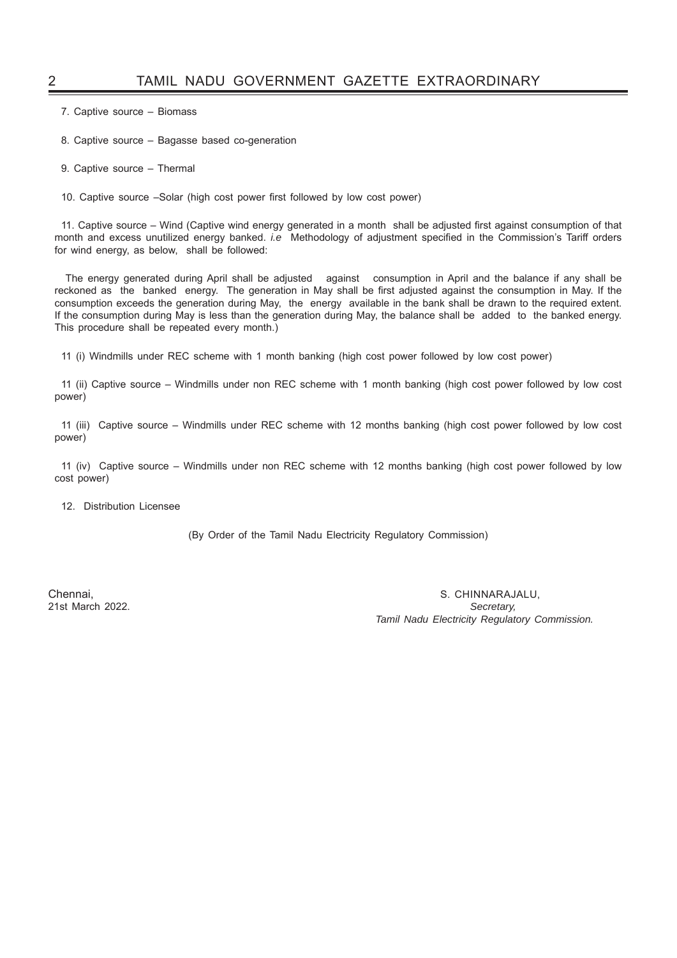- 7. Captive source Biomass
- 8. Captive source Bagasse based co-generation
- 9. Captive source Thermal
- 10. Captive source –Solar (high cost power first followed by low cost power)

11. Captive source – Wind (Captive wind energy generated in a month shall be adjusted first against consumption of that month and excess unutilized energy banked. *i.e* Methodology of adjustment specified in the Commission's Tariff orders for wind energy, as below, shall be followed:

 The energy generated during April shall be adjusted against consumption in April and the balance if any shall be reckoned as the banked energy. The generation in May shall be first adjusted against the consumption in May. If the consumption exceeds the generation during May, the energy available in the bank shall be drawn to the required extent. If the consumption during May is less than the generation during May, the balance shall be added to the banked energy. This procedure shall be repeated every month.)

11 (i) Windmills under REC scheme with 1 month banking (high cost power followed by low cost power)

11 (ii) Captive source – Windmills under non REC scheme with 1 month banking (high cost power followed by low cost power)

11 (iii) Captive source – Windmills under REC scheme with 12 months banking (high cost power followed by low cost power)

11 (iv) Captive source – Windmills under non REC scheme with 12 months banking (high cost power followed by low cost power)

12. Distribution Licensee

(By Order of the Tamil Nadu Electricity Regulatory Commission)

Chennai, S. CHINNARAJALU, S. CHINNARAJALU, S. CHINNARAJALU, S. CHINNARAJALU, S. CHINNARAJALU, S. CHINNARAJALU, 21st March 2022. *Secretary, Tamil Nadu Electricity Regulatory Commission.*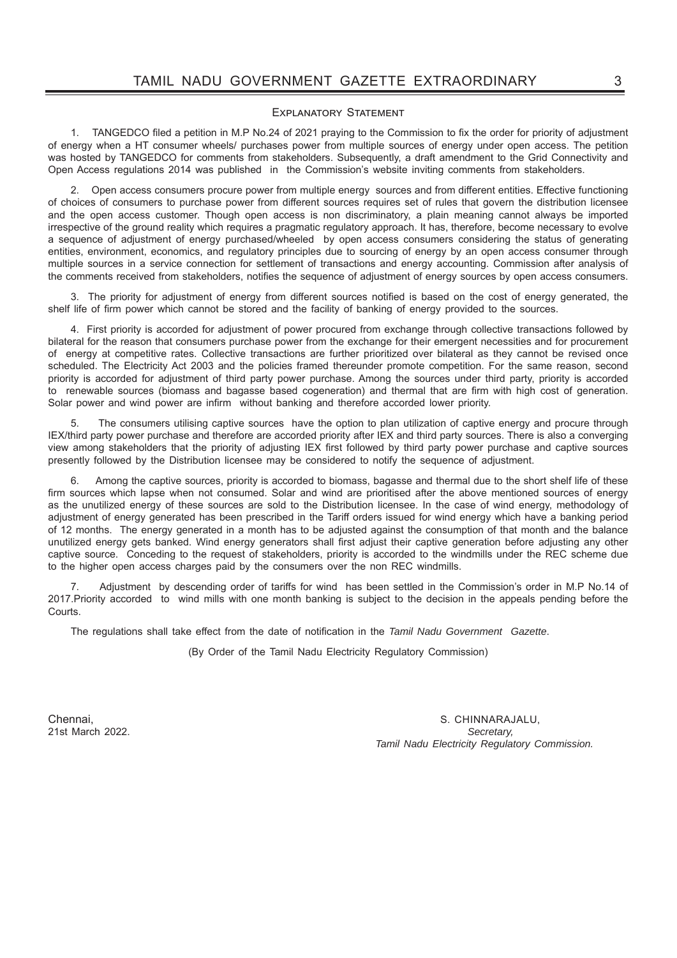#### EXPLANATORY STATEMENT

1. TANGEDCO filed a petition in M.P No.24 of 2021 praying to the Commission to fix the order for priority of adjustment of energy when a HT consumer wheels/ purchases power from multiple sources of energy under open access. The petition was hosted by TANGEDCO for comments from stakeholders. Subsequently, a draft amendment to the Grid Connectivity and Open Access regulations 2014 was published in the Commission's website inviting comments from stakeholders.

2. Open access consumers procure power from multiple energy sources and from different entities. Effective functioning of choices of consumers to purchase power from different sources requires set of rules that govern the distribution licensee and the open access customer. Though open access is non discriminatory, a plain meaning cannot always be imported irrespective of the ground reality which requires a pragmatic regulatory approach. It has, therefore, become necessary to evolve a sequence of adjustment of energy purchased/wheeled by open access consumers considering the status of generating entities, environment, economics, and regulatory principles due to sourcing of energy by an open access consumer through multiple sources in a service connection for settlement of transactions and energy accounting. Commission after analysis of the comments received from stakeholders, notifies the sequence of adjustment of energy sources by open access consumers.

3. The priority for adjustment of energy from different sources notified is based on the cost of energy generated, the shelf life of firm power which cannot be stored and the facility of banking of energy provided to the sources.

4. First priority is accorded for adjustment of power procured from exchange through collective transactions followed by bilateral for the reason that consumers purchase power from the exchange for their emergent necessities and for procurement of energy at competitive rates. Collective transactions are further prioritized over bilateral as they cannot be revised once scheduled. The Electricity Act 2003 and the policies framed thereunder promote competition. For the same reason, second priority is accorded for adjustment of third party power purchase. Among the sources under third party, priority is accorded to renewable sources (biomass and bagasse based cogeneration) and thermal that are firm with high cost of generation. Solar power and wind power are infirm without banking and therefore accorded lower priority.

5. The consumers utilising captive sources have the option to plan utilization of captive energy and procure through IEX/third party power purchase and therefore are accorded priority after IEX and third party sources. There is also a converging view among stakeholders that the priority of adjusting IEX first followed by third party power purchase and captive sources presently followed by the Distribution licensee may be considered to notify the sequence of adjustment.

6. Among the captive sources, priority is accorded to biomass, bagasse and thermal due to the short shelf life of these firm sources which lapse when not consumed. Solar and wind are prioritised after the above mentioned sources of energy as the unutilized energy of these sources are sold to the Distribution licensee. In the case of wind energy, methodology of adjustment of energy generated has been prescribed in the Tariff orders issued for wind energy which have a banking period of 12 months. The energy generated in a month has to be adjusted against the consumption of that month and the balance unutilized energy gets banked. Wind energy generators shall first adjust their captive generation before adjusting any other captive source. Conceding to the request of stakeholders, priority is accorded to the windmills under the REC scheme due to the higher open access charges paid by the consumers over the non REC windmills.

Adjustment by descending order of tariffs for wind has been settled in the Commission's order in M.P No.14 of 2017.Priority accorded to wind mills with one month banking is subject to the decision in the appeals pending before the Courts.

The regulations shall take effect from the date of notification in the *Tamil Nadu Government Gazette*.

(By Order of the Tamil Nadu Electricity Regulatory Commission)

Chennai, S. CHINNARAJALU, S. CHINNARAJALU, S. CHINNARAJALU, S. CHINNARAJALU, S. CHINNARAJALU, S. CHINNARAJALU, 21st March 2022. *Secretary, Tamil Nadu Electricity Regulatory Commission.*